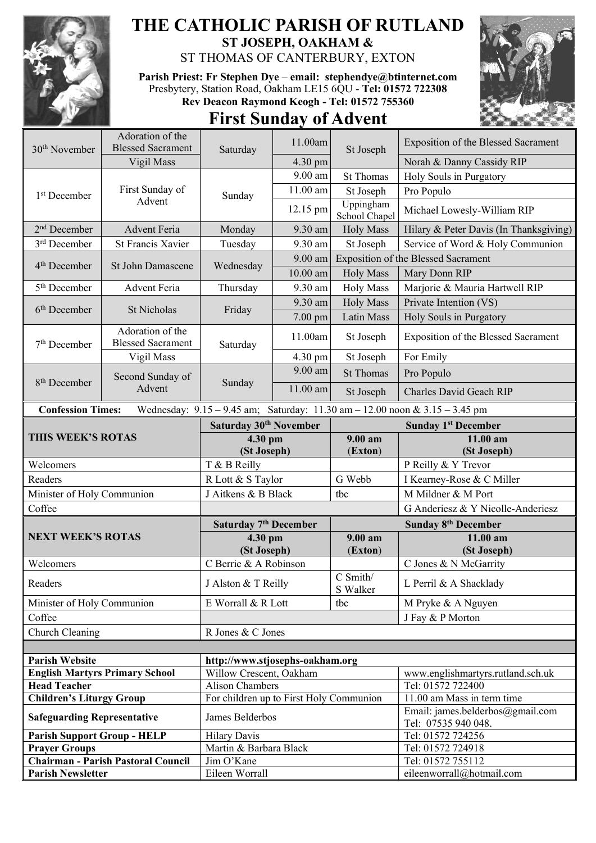

## **THE CATHOLIC PARISH OF RUTLAND ST JOSEPH, OAKHAM &**

ST THOMAS OF CANTERBURY, EXTON

**Parish Priest: Fr Stephen Dye** – **[email: stephendye@btinternet.com](mailto:email:%20%20stephendye@btinternet.com)** Presbytery, Station Road, Oakham LE15 6QU - **Tel: 01572 722308 Rev Deacon Raymond Keogh - Tel: 01572 755360**

## **First Sunday of Advent**



| $30th$ November                    | Adoration of the                             | Saturday                                | 11.00am                         | St Joseph              | Exposition of the Blessed Sacrament                                         |
|------------------------------------|----------------------------------------------|-----------------------------------------|---------------------------------|------------------------|-----------------------------------------------------------------------------|
|                                    | <b>Blessed Sacrament</b>                     |                                         |                                 |                        | Norah & Danny Cassidy RIP                                                   |
|                                    | Vigil Mass                                   |                                         | 4.30 pm<br>$\overline{9.00}$ am | <b>St Thomas</b>       | Holy Souls in Purgatory                                                     |
| 1 <sup>st</sup> December           | First Sunday of<br>Advent                    | Sunday                                  | $11.00$ am                      |                        |                                                                             |
|                                    |                                              |                                         |                                 | St Joseph<br>Uppingham | Pro Populo                                                                  |
|                                    |                                              |                                         | 12.15 pm                        | School Chapel          | Michael Lowesly-William RIP                                                 |
| 2 <sup>nd</sup> December           | <b>Advent Feria</b>                          | Monday                                  | 9.30 am                         | <b>Holy Mass</b>       | Hilary & Peter Davis (In Thanksgiving)                                      |
| 3 <sup>rd</sup> December           | <b>St Francis Xavier</b>                     | Tuesday                                 | 9.30 am                         | St Joseph              | Service of Word & Holy Communion                                            |
| 4 <sup>th</sup> December           | St John Damascene                            | Wednesday                               | $9.00$ am                       |                        | Exposition of the Blessed Sacrament                                         |
|                                    |                                              |                                         | $10.00$ am                      | <b>Holy Mass</b>       | Mary Donn RIP                                                               |
| 5 <sup>th</sup> December           | <b>Advent Feria</b>                          | Thursday                                | 9.30 am                         | <b>Holy Mass</b>       | Marjorie & Mauria Hartwell RIP                                              |
| 6 <sup>th</sup> December           | St Nicholas                                  | Friday                                  | 9.30 am                         | <b>Holy Mass</b>       | Private Intention (VS)                                                      |
|                                    |                                              |                                         | $7.00$ pm                       | Latin Mass             | Holy Souls in Purgatory                                                     |
| 7 <sup>th</sup> December           | Adoration of the<br><b>Blessed Sacrament</b> | Saturday                                | 11.00am                         | St Joseph              | Exposition of the Blessed Sacrament                                         |
|                                    | Vigil Mass                                   |                                         | 4.30 pm                         | St Joseph              | For Emily                                                                   |
|                                    | Second Sunday of<br>Advent                   | Sunday                                  | 9.00 am                         | <b>St Thomas</b>       | Pro Populo                                                                  |
| 8 <sup>th</sup> December           |                                              |                                         | 11.00 am                        | St Joseph              | Charles David Geach RIP                                                     |
| <b>Confession Times:</b>           |                                              |                                         |                                 |                        | Wednesday: 9.15 - 9.45 am; Saturday: 11.30 am - 12.00 noon & 3.15 - 3.45 pm |
| THIS WEEK'S ROTAS                  |                                              | Saturday 30 <sup>th</sup> November      |                                 |                        | <b>Sunday 1st December</b>                                                  |
|                                    |                                              | 4.30 pm<br>(St Joseph)                  |                                 | 9.00 am                | $11.00$ am                                                                  |
|                                    |                                              |                                         |                                 | (Exton)                | (St Joseph)                                                                 |
| Welcomers                          |                                              | T & B Reilly                            |                                 |                        | P Reilly & Y Trevor                                                         |
| Readers                            |                                              | R Lott & S Taylor                       |                                 | G Webb                 | I Kearney-Rose & C Miller                                                   |
| Minister of Holy Communion         |                                              | J Aitkens & B Black                     |                                 | tbc                    | M Mildner & M Port                                                          |
| Coffee                             |                                              |                                         |                                 |                        | G Anderiesz & Y Nicolle-Anderiesz                                           |
| <b>NEXT WEEK'S ROTAS</b>           |                                              | Saturday 7 <sup>th</sup> December       |                                 |                        | <b>Sunday 8th December</b>                                                  |
|                                    |                                              | 4.30 pm                                 |                                 | 9.00 a <sub>m</sub>    | 11.00 am                                                                    |
|                                    |                                              | (St Joseph)                             |                                 | (Exton)                | (St Joseph)                                                                 |
| Welcomers                          |                                              | C Berrie & A Robinson                   |                                 |                        |                                                                             |
| Readers                            |                                              |                                         |                                 |                        | C Jones & N McGarrity                                                       |
| Minister of Holy Communion         |                                              | J Alston & T Reilly                     |                                 | C Smith/<br>S Walker   | L Perril & A Shacklady                                                      |
|                                    |                                              | E Worrall & R Lott                      |                                 | tbc                    | M Pryke & A Nguyen                                                          |
| Coffee                             |                                              |                                         |                                 |                        | J Fay & P Morton                                                            |
| Church Cleaning                    |                                              | R Jones & C Jones                       |                                 |                        |                                                                             |
|                                    |                                              |                                         |                                 |                        |                                                                             |
| <b>Parish Website</b>              |                                              | http://www.stjosephs-oakham.org         |                                 |                        |                                                                             |
|                                    | <b>English Martyrs Primary School</b>        | Willow Crescent, Oakham                 |                                 |                        | www.englishmartyrs.rutland.sch.uk                                           |
| <b>Head Teacher</b>                |                                              | Alison Chambers                         |                                 |                        | Tel: 01572 722400                                                           |
| <b>Children's Liturgy Group</b>    |                                              | For children up to First Holy Communion |                                 |                        | 11.00 am Mass in term time                                                  |
| <b>Safeguarding Representative</b> |                                              | James Belderbos                         |                                 |                        | Email: james.belderbos@gmail.com<br>Tel: 07535 940 048.                     |
| <b>Parish Support Group - HELP</b> |                                              | <b>Hilary Davis</b>                     |                                 |                        | Tel: 01572 724256                                                           |
| <b>Prayer Groups</b>               |                                              | Martin & Barbara Black                  |                                 |                        | Tel: 01572 724918                                                           |
| <b>Parish Newsletter</b>           | <b>Chairman - Parish Pastoral Council</b>    | Jim O'Kane<br>Eileen Worrall            |                                 |                        | Tel: 01572 755112<br>eileenworrall@hotmail.com                              |